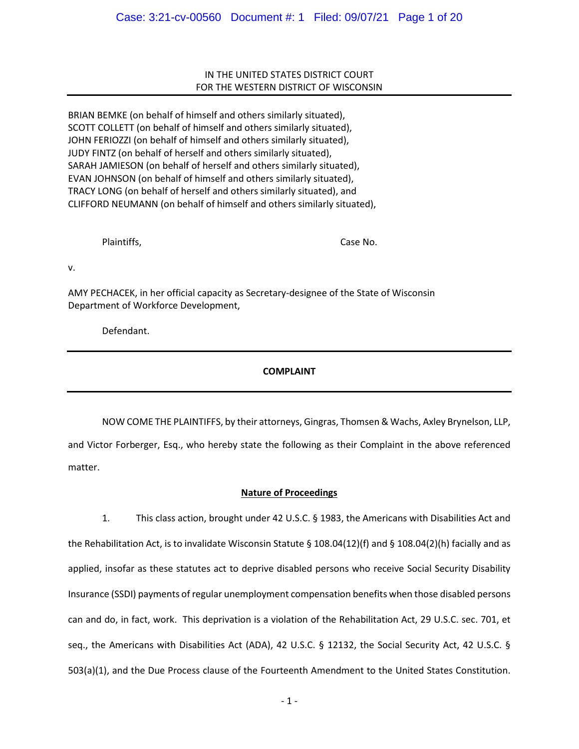# IN THE UNITED STATES DISTRICT COURT FOR THE WESTERN DISTRICT OF WISCONSIN

BRIAN BEMKE (on behalf of himself and others similarly situated), SCOTT COLLETT (on behalf of himself and others similarly situated), JOHN FERIOZZI (on behalf of himself and others similarly situated), JUDY FINTZ (on behalf of herself and others similarly situated), SARAH JAMIESON (on behalf of herself and others similarly situated), EVAN JOHNSON (on behalf of himself and others similarly situated), TRACY LONG (on behalf of herself and others similarly situated), and CLIFFORD NEUMANN (on behalf of himself and others similarly situated),

Plaintiffs, Case No.

v.

AMY PECHACEK, in her official capacity as Secretary-designee of the State of Wisconsin Department of Workforce Development,

Defendant.

# **COMPLAINT**

NOW COME THE PLAINTIFFS, by their attorneys, Gingras, Thomsen & Wachs, Axley Brynelson, LLP, and Victor Forberger, Esq., who hereby state the following as their Complaint in the above referenced matter.

# **Nature of Proceedings**

1. This class action, brought under 42 U.S.C. § 1983, the Americans with Disabilities Act and the Rehabilitation Act, is to invalidate Wisconsin Statute § 108.04(12)(f) and § 108.04(2)(h) facially and as applied, insofar as these statutes act to deprive disabled persons who receive Social Security Disability Insurance (SSDI) payments of regular unemployment compensation benefits when those disabled persons can and do, in fact, work. This deprivation is a violation of the Rehabilitation Act, 29 U.S.C. sec. 701, et seq., the Americans with Disabilities Act (ADA), 42 U.S.C. § 12132, the Social Security Act, 42 U.S.C. § 503(a)(1), and the Due Process clause of the Fourteenth Amendment to the United States Constitution.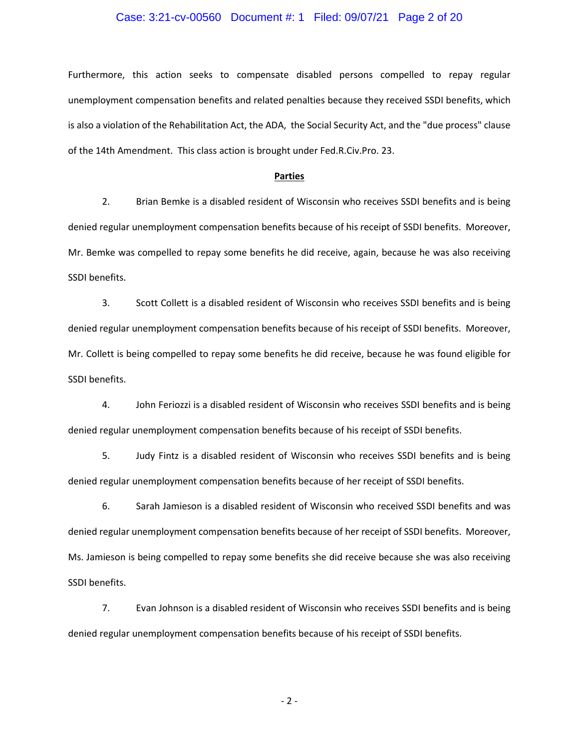# Case: 3:21-cv-00560 Document #: 1 Filed: 09/07/21 Page 2 of 20

Furthermore, this action seeks to compensate disabled persons compelled to repay regular unemployment compensation benefits and related penalties because they received SSDI benefits, which is also a violation of the Rehabilitation Act, the ADA, the Social Security Act, and the "due process" clause of the 14th Amendment. This class action is brought under Fed.R.Civ.Pro. 23.

#### **Parties**

2. Brian Bemke is a disabled resident of Wisconsin who receives SSDI benefits and is being denied regular unemployment compensation benefits because of his receipt of SSDI benefits. Moreover, Mr. Bemke was compelled to repay some benefits he did receive, again, because he was also receiving SSDI benefits.

3. Scott Collett is a disabled resident of Wisconsin who receives SSDI benefits and is being denied regular unemployment compensation benefits because of his receipt of SSDI benefits. Moreover, Mr. Collett is being compelled to repay some benefits he did receive, because he was found eligible for SSDI benefits.

4. John Feriozzi is a disabled resident of Wisconsin who receives SSDI benefits and is being denied regular unemployment compensation benefits because of his receipt of SSDI benefits.

5. Judy Fintz is a disabled resident of Wisconsin who receives SSDI benefits and is being denied regular unemployment compensation benefits because of her receipt of SSDI benefits.

6. Sarah Jamieson is a disabled resident of Wisconsin who received SSDI benefits and was denied regular unemployment compensation benefits because of her receipt of SSDI benefits. Moreover, Ms. Jamieson is being compelled to repay some benefits she did receive because she was also receiving SSDI benefits.

7. Evan Johnson is a disabled resident of Wisconsin who receives SSDI benefits and is being denied regular unemployment compensation benefits because of his receipt of SSDI benefits.

- 2 -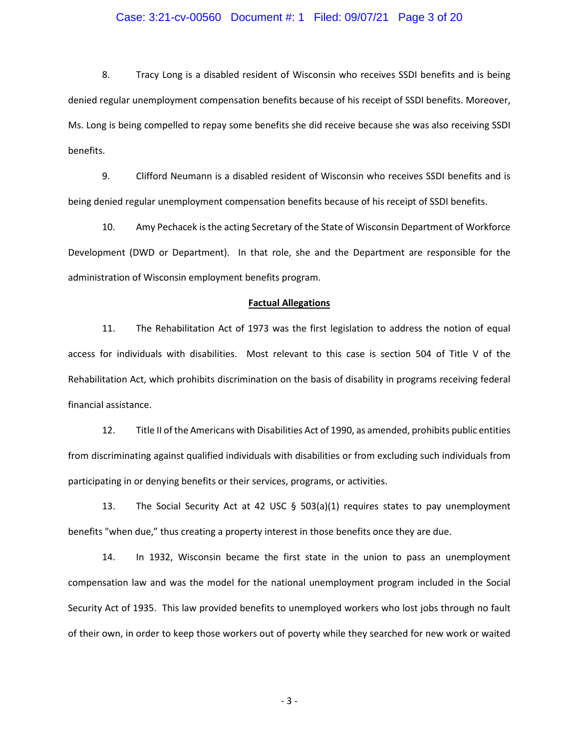# Case: 3:21-cv-00560 Document #: 1 Filed: 09/07/21 Page 3 of 20

8. Tracy Long is a disabled resident of Wisconsin who receives SSDI benefits and is being denied regular unemployment compensation benefits because of his receipt of SSDI benefits. Moreover, Ms. Long is being compelled to repay some benefits she did receive because she was also receiving SSDI benefits.

9. Clifford Neumann is a disabled resident of Wisconsin who receives SSDI benefits and is being denied regular unemployment compensation benefits because of his receipt of SSDI benefits.

10. Amy Pechacek is the acting Secretary of the State of Wisconsin Department of Workforce Development (DWD or Department). In that role, she and the Department are responsible for the administration of Wisconsin employment benefits program.

#### **Factual Allegations**

11. The Rehabilitation Act of 1973 was the first legislation to address the notion of equal access for individuals with disabilities. Most relevant to this case is section 504 of Title V of the Rehabilitation Act, which prohibits discrimination on the basis of disability in programs receiving federal financial assistance.

12. Title II of the Americans with Disabilities Act of 1990, as amended, prohibits public entities from discriminating against qualified individuals with disabilities or from excluding such individuals from participating in or denying benefits or their services, programs, or activities.

13. The Social Security Act at 42 USC  $\S$  503(a)(1) requires states to pay unemployment benefits "when due," thus creating a property interest in those benefits once they are due.

14. In 1932, Wisconsin became the first state in the union to pass an unemployment compensation law and was the model for the national unemployment program included in the Social Security Act of 1935. This law provided benefits to unemployed workers who lost jobs through no fault of their own, in order to keep those workers out of poverty while they searched for new work or waited

- 3 -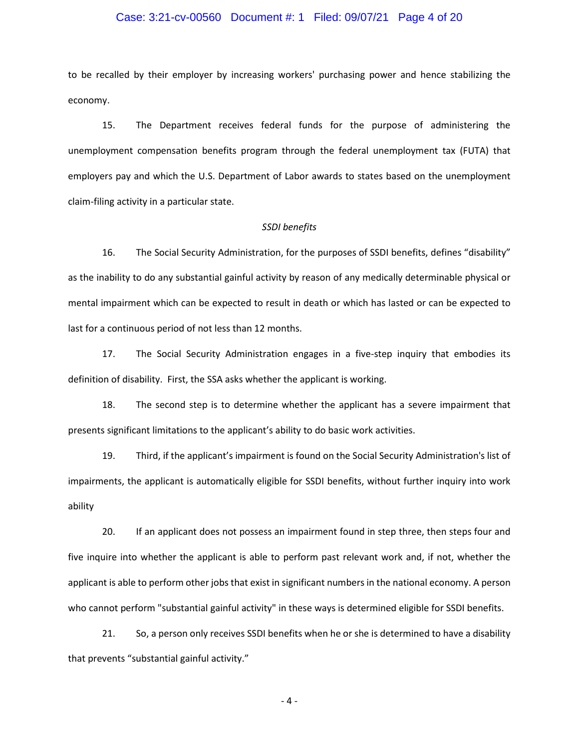# Case: 3:21-cv-00560 Document #: 1 Filed: 09/07/21 Page 4 of 20

to be recalled by their employer by increasing workers' purchasing power and hence stabilizing the economy.

15. The Department receives federal funds for the purpose of administering the unemployment compensation benefits program through the federal unemployment tax (FUTA) that employers pay and which the U.S. Department of Labor awards to states based on the unemployment claim-filing activity in a particular state.

#### *SSDI benefits*

16. The Social Security Administration, for the purposes of SSDI benefits, defines "disability" as the inability to do any substantial gainful activity by reason of any medically determinable physical or mental impairment which can be expected to result in death or which has lasted or can be expected to last for a continuous period of not less than 12 months.

17. The Social Security Administration engages in a five-step inquiry that embodies its definition of disability. First, the SSA asks whether the applicant is working.

18. The second step is to determine whether the applicant has a severe impairment that presents significant limitations to the applicant's ability to do basic work activities.

19. Third, if the applicant's impairment is found on the Social Security Administration's list of impairments, the applicant is automatically eligible for SSDI benefits, without further inquiry into work ability

20. If an applicant does not possess an impairment found in step three, then steps four and five inquire into whether the applicant is able to perform past relevant work and, if not, whether the applicant is able to perform other jobs that exist in significant numbers in the national economy. A person who cannot perform "substantial gainful activity" in these ways is determined eligible for SSDI benefits.

21. So, a person only receives SSDI benefits when he or she is determined to have a disability that prevents "substantial gainful activity."

- 4 -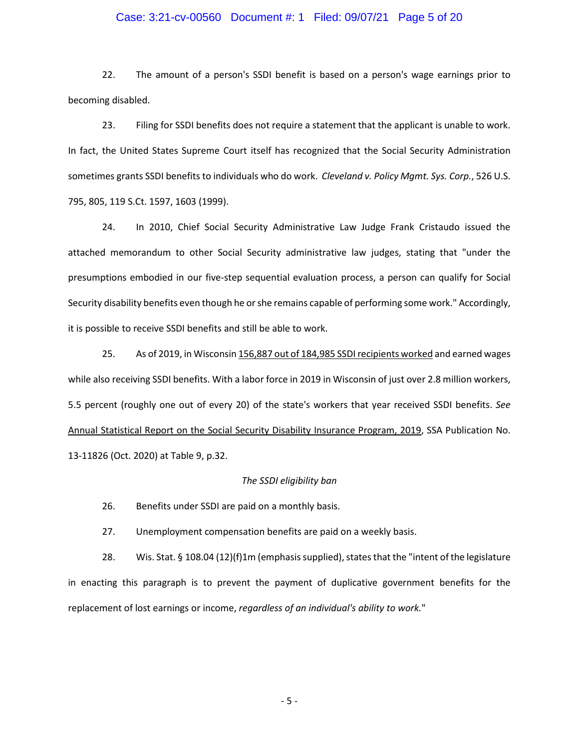# Case: 3:21-cv-00560 Document #: 1 Filed: 09/07/21 Page 5 of 20

22. The amount of a person's SSDI benefit is based on a person's wage earnings prior to becoming disabled.

23. Filing for SSDI benefits does not require a statement that the applicant is unable to work. In fact, the United States Supreme Court itself has recognized that the Social Security Administration sometimes grants SSDI benefits to individuals who do work. *Cleveland v. Policy Mgmt. Sys. Corp.*, 526 U.S. 795, 805, 119 S.Ct. 1597, 1603 (1999).

24. In 2010, Chief Social Security Administrative Law Judge Frank Cristaudo issued the attached memorandum to other Social Security administrative law judges, stating that "under the presumptions embodied in our five-step sequential evaluation process, a person can qualify for Social Security disability benefits even though he or she remains capable of performing some work." Accordingly, it is possible to receive SSDI benefits and still be able to work.

25. As of 2019, in Wisconsi[n 156,887 out of 184,985 SSDI recipients worked](about:blank#table9) and earned wages while also receiving SSDI benefits. With a labor force in 2019 in Wisconsin of just over 2.8 million workers, 5.5 percent (roughly one out of every 20) of the state's workers that year received SSDI benefits. *See* Annual Statistical Report on the Social Security Disability Insurance Program, 2019, SSA Publication No. 13-11826 (Oct. 2020) at Table 9, p.32.

#### *The SSDI eligibility ban*

26. Benefits under SSDI are paid on a monthly basis.

27. Unemployment compensation benefits are paid on a weekly basis.

28. Wis. Stat. § 108.04 (12)(f)1m (emphasis supplied), states that the "intent of the legislature in enacting this paragraph is to prevent the payment of duplicative government benefits for the replacement of lost earnings or income, *regardless of an individual's ability to work.*"

- 5 -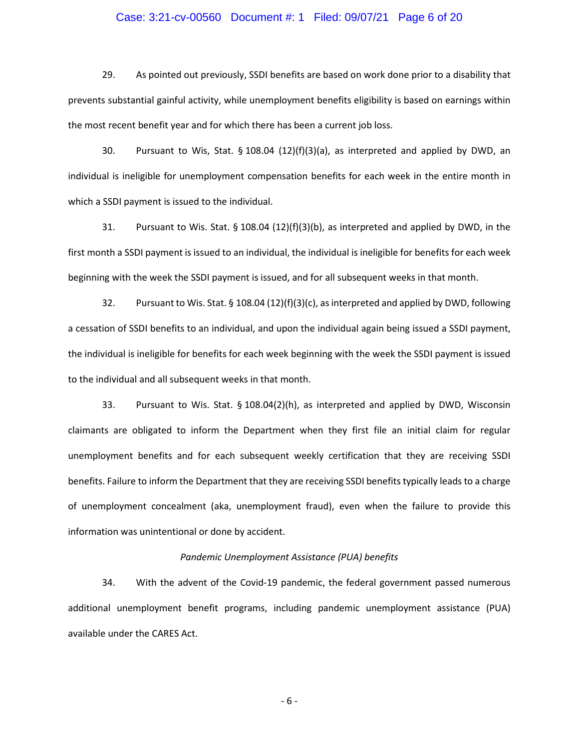# Case: 3:21-cv-00560 Document #: 1 Filed: 09/07/21 Page 6 of 20

29. As pointed out previously, SSDI benefits are based on work done prior to a disability that prevents substantial gainful activity, while unemployment benefits eligibility is based on earnings within the most recent benefit year and for which there has been a current job loss.

30. Pursuant to Wis, Stat. § 108.04 (12)(f)(3)(a), as interpreted and applied by DWD, an individual is ineligible for unemployment compensation benefits for each week in the entire month in which a SSDI payment is issued to the individual.

31. Pursuant to Wis. Stat. § 108.04 (12)(f)(3)(b), as interpreted and applied by DWD, in the first month a SSDI payment is issued to an individual, the individual is ineligible for benefits for each week beginning with the week the SSDI payment is issued, and for all subsequent weeks in that month.

32. Pursuant to Wis. Stat. § 108.04 (12)(f)(3)(c), as interpreted and applied by DWD, following a cessation of SSDI benefits to an individual, and upon the individual again being issued a SSDI payment, the individual is ineligible for benefits for each week beginning with the week the SSDI payment is issued to the individual and all subsequent weeks in that month.

33. Pursuant to Wis. Stat. § 108.04(2)(h), as interpreted and applied by DWD, Wisconsin claimants are obligated to inform the Department when they first file an initial claim for regular unemployment benefits and for each subsequent weekly certification that they are receiving SSDI benefits. Failure to inform the Department that they are receiving SSDI benefits typically leads to a charge of unemployment concealment (aka, unemployment fraud), even when the failure to provide this information was unintentional or done by accident.

#### *Pandemic Unemployment Assistance (PUA) benefits*

34. With the advent of the Covid-19 pandemic, the federal government passed numerous additional unemployment benefit programs, including pandemic unemployment assistance (PUA) available under the CARES Act.

- 6 -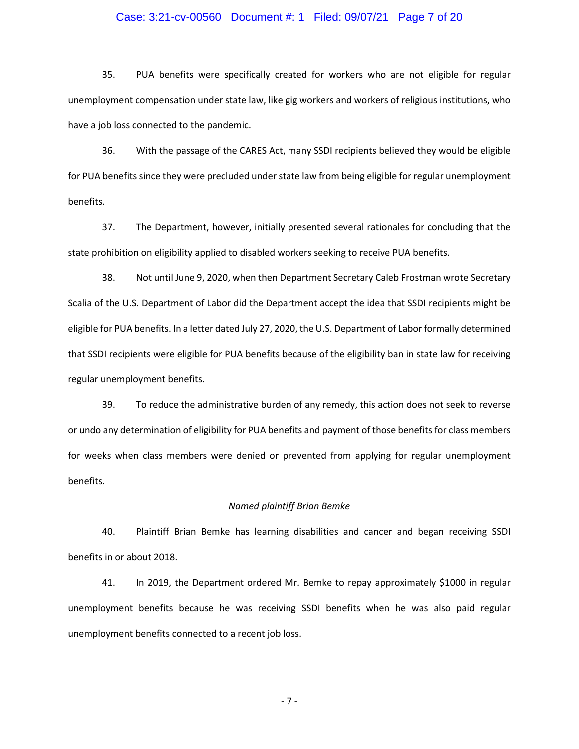# Case: 3:21-cv-00560 Document #: 1 Filed: 09/07/21 Page 7 of 20

35. PUA benefits were specifically created for workers who are not eligible for regular unemployment compensation under state law, like gig workers and workers of religious institutions, who have a job loss connected to the pandemic.

36. With the passage of the CARES Act, many SSDI recipients believed they would be eligible for PUA benefits since they were precluded under state law from being eligible for regular unemployment benefits.

37. The Department, however, initially presented several rationales for concluding that the state prohibition on eligibility applied to disabled workers seeking to receive PUA benefits.

38. Not until June 9, 2020, when then Department Secretary Caleb Frostman wrote Secretary Scalia of the U.S. Department of Labor did the Department accept the idea that SSDI recipients might be eligible for PUA benefits. In a letter dated July 27, 2020, the U.S. Department of Labor formally determined that SSDI recipients were eligible for PUA benefits because of the eligibility ban in state law for receiving regular unemployment benefits.

39. To reduce the administrative burden of any remedy, this action does not seek to reverse or undo any determination of eligibility for PUA benefits and payment of those benefits for class members for weeks when class members were denied or prevented from applying for regular unemployment benefits.

#### *Named plaintiff Brian Bemke*

40. Plaintiff Brian Bemke has learning disabilities and cancer and began receiving SSDI benefits in or about 2018.

41. In 2019, the Department ordered Mr. Bemke to repay approximately \$1000 in regular unemployment benefits because he was receiving SSDI benefits when he was also paid regular unemployment benefits connected to a recent job loss.

- 7 -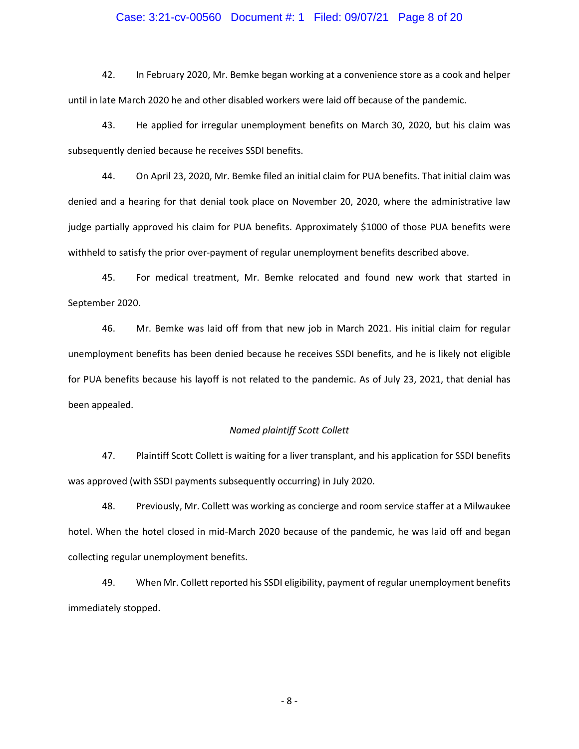# Case: 3:21-cv-00560 Document #: 1 Filed: 09/07/21 Page 8 of 20

42. In February 2020, Mr. Bemke began working at a convenience store as a cook and helper until in late March 2020 he and other disabled workers were laid off because of the pandemic.

43. He applied for irregular unemployment benefits on March 30, 2020, but his claim was subsequently denied because he receives SSDI benefits.

44. On April 23, 2020, Mr. Bemke filed an initial claim for PUA benefits. That initial claim was denied and a hearing for that denial took place on November 20, 2020, where the administrative law judge partially approved his claim for PUA benefits. Approximately \$1000 of those PUA benefits were withheld to satisfy the prior over-payment of regular unemployment benefits described above.

45. For medical treatment, Mr. Bemke relocated and found new work that started in September 2020.

46. Mr. Bemke was laid off from that new job in March 2021. His initial claim for regular unemployment benefits has been denied because he receives SSDI benefits, and he is likely not eligible for PUA benefits because his layoff is not related to the pandemic. As of July 23, 2021, that denial has been appealed.

#### *Named plaintiff Scott Collett*

47. Plaintiff Scott Collett is waiting for a liver transplant, and his application for SSDI benefits was approved (with SSDI payments subsequently occurring) in July 2020.

48. Previously, Mr. Collett was working as concierge and room service staffer at a Milwaukee hotel. When the hotel closed in mid-March 2020 because of the pandemic, he was laid off and began collecting regular unemployment benefits.

49. When Mr. Collett reported his SSDI eligibility, payment of regular unemployment benefits immediately stopped.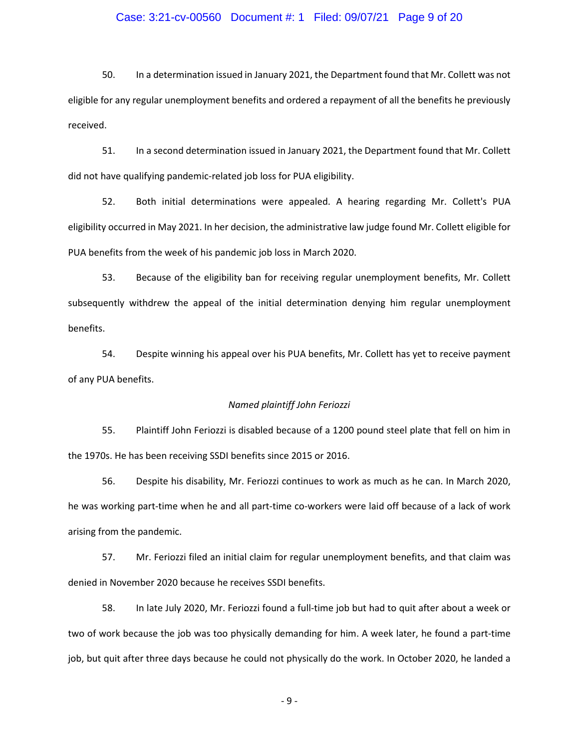# Case: 3:21-cv-00560 Document #: 1 Filed: 09/07/21 Page 9 of 20

50. In a determination issued in January 2021, the Department found that Mr. Collett was not eligible for any regular unemployment benefits and ordered a repayment of all the benefits he previously received.

51. In a second determination issued in January 2021, the Department found that Mr. Collett did not have qualifying pandemic-related job loss for PUA eligibility.

52. Both initial determinations were appealed. A hearing regarding Mr. Collett's PUA eligibility occurred in May 2021. In her decision, the administrative law judge found Mr. Collett eligible for PUA benefits from the week of his pandemic job loss in March 2020.

53. Because of the eligibility ban for receiving regular unemployment benefits, Mr. Collett subsequently withdrew the appeal of the initial determination denying him regular unemployment benefits.

54. Despite winning his appeal over his PUA benefits, Mr. Collett has yet to receive payment of any PUA benefits.

#### *Named plaintiff John Feriozzi*

55. Plaintiff John Feriozzi is disabled because of a 1200 pound steel plate that fell on him in the 1970s. He has been receiving SSDI benefits since 2015 or 2016.

56. Despite his disability, Mr. Feriozzi continues to work as much as he can. In March 2020, he was working part-time when he and all part-time co-workers were laid off because of a lack of work arising from the pandemic.

57. Mr. Feriozzi filed an initial claim for regular unemployment benefits, and that claim was denied in November 2020 because he receives SSDI benefits.

58. In late July 2020, Mr. Feriozzi found a full-time job but had to quit after about a week or two of work because the job was too physically demanding for him. A week later, he found a part-time job, but quit after three days because he could not physically do the work. In October 2020, he landed a

- 9 -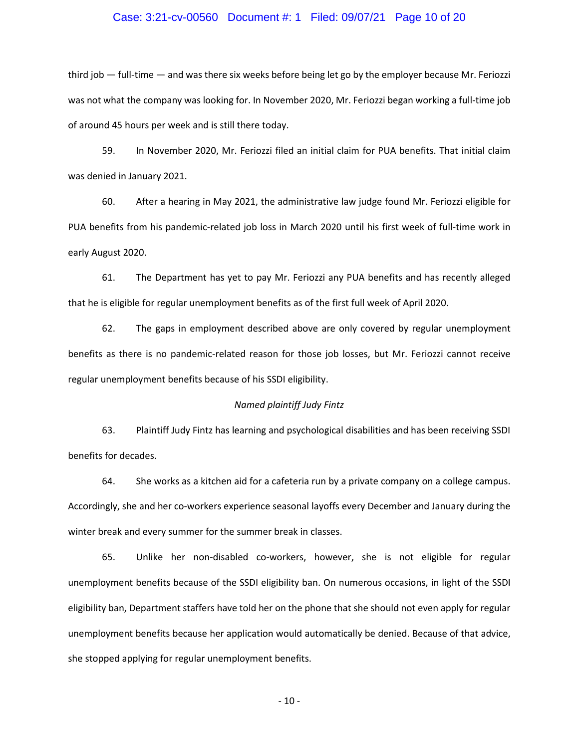# Case: 3:21-cv-00560 Document #: 1 Filed: 09/07/21 Page 10 of 20

third job — full-time — and was there six weeks before being let go by the employer because Mr. Feriozzi was not what the company was looking for. In November 2020, Mr. Feriozzi began working a full-time job of around 45 hours per week and is still there today.

59. In November 2020, Mr. Feriozzi filed an initial claim for PUA benefits. That initial claim was denied in January 2021.

60. After a hearing in May 2021, the administrative law judge found Mr. Feriozzi eligible for PUA benefits from his pandemic-related job loss in March 2020 until his first week of full-time work in early August 2020.

61. The Department has yet to pay Mr. Feriozzi any PUA benefits and has recently alleged that he is eligible for regular unemployment benefits as of the first full week of April 2020.

62. The gaps in employment described above are only covered by regular unemployment benefits as there is no pandemic-related reason for those job losses, but Mr. Feriozzi cannot receive regular unemployment benefits because of his SSDI eligibility.

#### *Named plaintiff Judy Fintz*

63. Plaintiff Judy Fintz has learning and psychological disabilities and has been receiving SSDI benefits for decades.

64. She works as a kitchen aid for a cafeteria run by a private company on a college campus. Accordingly, she and her co-workers experience seasonal layoffs every December and January during the winter break and every summer for the summer break in classes.

65. Unlike her non-disabled co-workers, however, she is not eligible for regular unemployment benefits because of the SSDI eligibility ban. On numerous occasions, in light of the SSDI eligibility ban, Department staffers have told her on the phone that she should not even apply for regular unemployment benefits because her application would automatically be denied. Because of that advice, she stopped applying for regular unemployment benefits.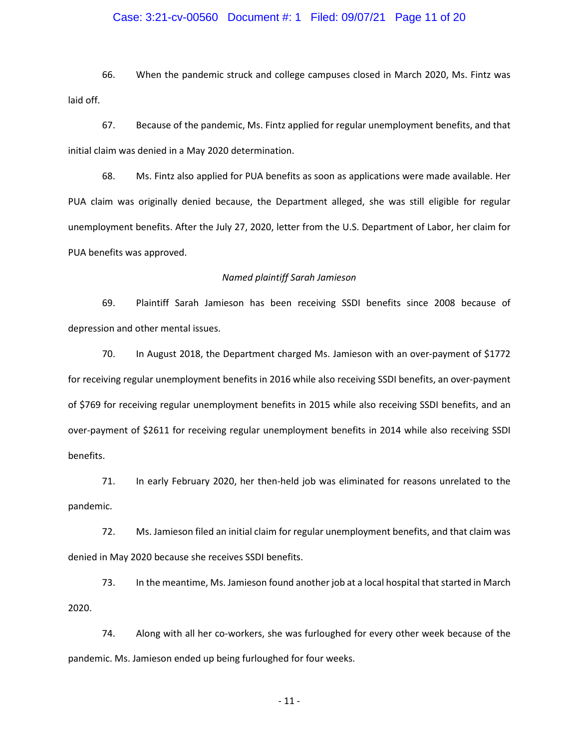# Case: 3:21-cv-00560 Document #: 1 Filed: 09/07/21 Page 11 of 20

66. When the pandemic struck and college campuses closed in March 2020, Ms. Fintz was laid off.

67. Because of the pandemic, Ms. Fintz applied for regular unemployment benefits, and that initial claim was denied in a May 2020 determination.

68. Ms. Fintz also applied for PUA benefits as soon as applications were made available. Her PUA claim was originally denied because, the Department alleged, she was still eligible for regular unemployment benefits. After the July 27, 2020, letter from the U.S. Department of Labor, her claim for PUA benefits was approved.

#### *Named plaintiff Sarah Jamieson*

69. Plaintiff Sarah Jamieson has been receiving SSDI benefits since 2008 because of depression and other mental issues.

70. In August 2018, the Department charged Ms. Jamieson with an over-payment of \$1772 for receiving regular unemployment benefits in 2016 while also receiving SSDI benefits, an over-payment of \$769 for receiving regular unemployment benefits in 2015 while also receiving SSDI benefits, and an over-payment of \$2611 for receiving regular unemployment benefits in 2014 while also receiving SSDI benefits.

71. In early February 2020, her then-held job was eliminated for reasons unrelated to the pandemic.

72. Ms. Jamieson filed an initial claim for regular unemployment benefits, and that claim was denied in May 2020 because she receives SSDI benefits.

73. In the meantime, Ms. Jamieson found another job at a local hospital that started in March 2020.

74. Along with all her co-workers, she was furloughed for every other week because of the pandemic. Ms. Jamieson ended up being furloughed for four weeks.

- 11 -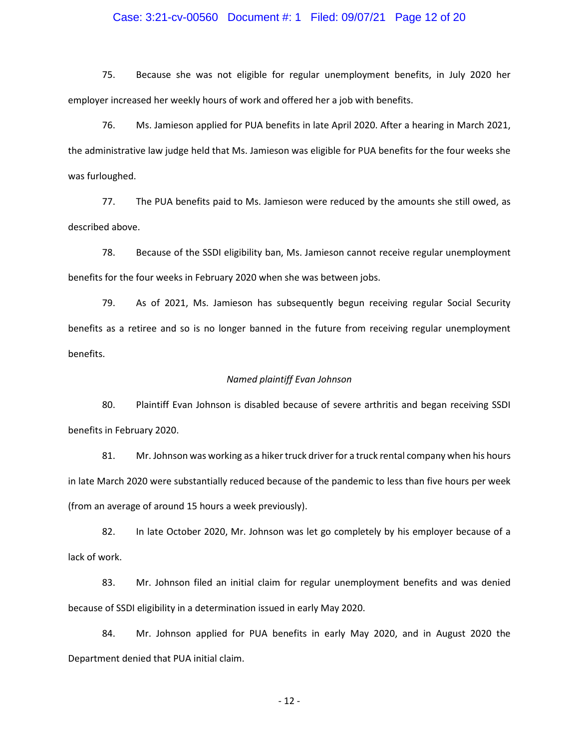# Case: 3:21-cv-00560 Document #: 1 Filed: 09/07/21 Page 12 of 20

75. Because she was not eligible for regular unemployment benefits, in July 2020 her employer increased her weekly hours of work and offered her a job with benefits.

76. Ms. Jamieson applied for PUA benefits in late April 2020. After a hearing in March 2021, the administrative law judge held that Ms. Jamieson was eligible for PUA benefits for the four weeks she was furloughed.

77. The PUA benefits paid to Ms. Jamieson were reduced by the amounts she still owed, as described above.

78. Because of the SSDI eligibility ban, Ms. Jamieson cannot receive regular unemployment benefits for the four weeks in February 2020 when she was between jobs.

79. As of 2021, Ms. Jamieson has subsequently begun receiving regular Social Security benefits as a retiree and so is no longer banned in the future from receiving regular unemployment benefits.

# *Named plaintiff Evan Johnson*

80. Plaintiff Evan Johnson is disabled because of severe arthritis and began receiving SSDI benefits in February 2020.

81. Mr. Johnson was working as a hiker truck driver for a truck rental company when his hours in late March 2020 were substantially reduced because of the pandemic to less than five hours per week (from an average of around 15 hours a week previously).

82. In late October 2020, Mr. Johnson was let go completely by his employer because of a lack of work.

83. Mr. Johnson filed an initial claim for regular unemployment benefits and was denied because of SSDI eligibility in a determination issued in early May 2020.

84. Mr. Johnson applied for PUA benefits in early May 2020, and in August 2020 the Department denied that PUA initial claim.

- 12 -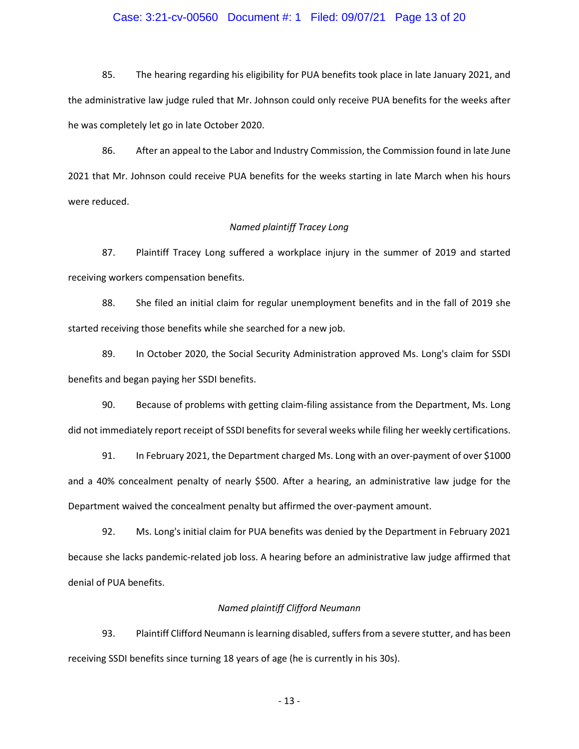# Case: 3:21-cv-00560 Document #: 1 Filed: 09/07/21 Page 13 of 20

85. The hearing regarding his eligibility for PUA benefits took place in late January 2021, and the administrative law judge ruled that Mr. Johnson could only receive PUA benefits for the weeks after he was completely let go in late October 2020.

86. After an appeal to the Labor and Industry Commission, the Commission found in late June 2021 that Mr. Johnson could receive PUA benefits for the weeks starting in late March when his hours were reduced.

#### *Named plaintiff Tracey Long*

87. Plaintiff Tracey Long suffered a workplace injury in the summer of 2019 and started receiving workers compensation benefits.

88. She filed an initial claim for regular unemployment benefits and in the fall of 2019 she started receiving those benefits while she searched for a new job.

89. In October 2020, the Social Security Administration approved Ms. Long's claim for SSDI benefits and began paying her SSDI benefits.

90. Because of problems with getting claim-filing assistance from the Department, Ms. Long did not immediately report receipt of SSDI benefits for several weeks while filing her weekly certifications.

91. In February 2021, the Department charged Ms. Long with an over-payment of over \$1000 and a 40% concealment penalty of nearly \$500. After a hearing, an administrative law judge for the Department waived the concealment penalty but affirmed the over-payment amount.

92. Ms. Long's initial claim for PUA benefits was denied by the Department in February 2021 because she lacks pandemic-related job loss. A hearing before an administrative law judge affirmed that denial of PUA benefits.

# *Named plaintiff Clifford Neumann*

93. Plaintiff Clifford Neumann is learning disabled, suffers from a severe stutter, and has been receiving SSDI benefits since turning 18 years of age (he is currently in his 30s).

- 13 -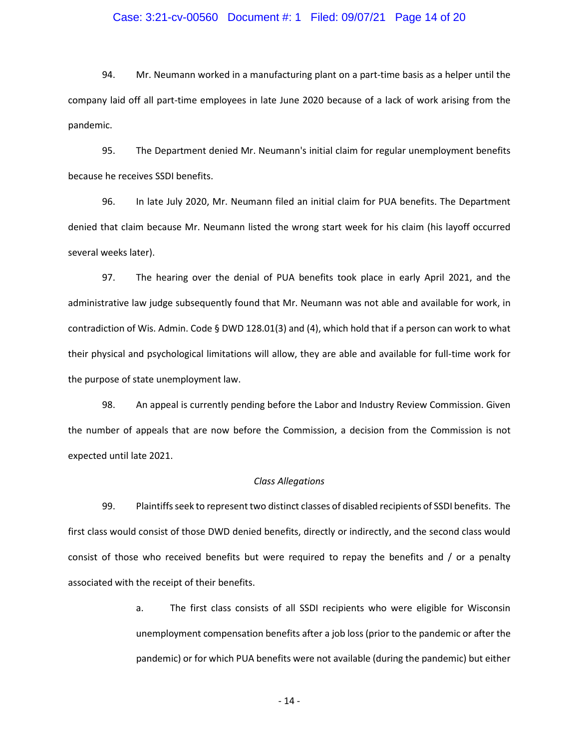# Case: 3:21-cv-00560 Document #: 1 Filed: 09/07/21 Page 14 of 20

94. Mr. Neumann worked in a manufacturing plant on a part-time basis as a helper until the company laid off all part-time employees in late June 2020 because of a lack of work arising from the pandemic.

95. The Department denied Mr. Neumann's initial claim for regular unemployment benefits because he receives SSDI benefits.

96. In late July 2020, Mr. Neumann filed an initial claim for PUA benefits. The Department denied that claim because Mr. Neumann listed the wrong start week for his claim (his layoff occurred several weeks later).

97. The hearing over the denial of PUA benefits took place in early April 2021, and the administrative law judge subsequently found that Mr. Neumann was not able and available for work, in contradiction of Wis. Admin. Code § DWD 128.01(3) and (4), which hold that if a person can work to what their physical and psychological limitations will allow, they are able and available for full-time work for the purpose of state unemployment law.

98. An appeal is currently pending before the Labor and Industry Review Commission. Given the number of appeals that are now before the Commission, a decision from the Commission is not expected until late 2021.

#### *Class Allegations*

99. Plaintiffs seek to represent two distinct classes of disabled recipients of SSDI benefits. The first class would consist of those DWD denied benefits, directly or indirectly, and the second class would consist of those who received benefits but were required to repay the benefits and / or a penalty associated with the receipt of their benefits.

> a. The first class consists of all SSDI recipients who were eligible for Wisconsin unemployment compensation benefits after a job loss (prior to the pandemic or after the pandemic) or for which PUA benefits were not available (during the pandemic) but either

> > - 14 -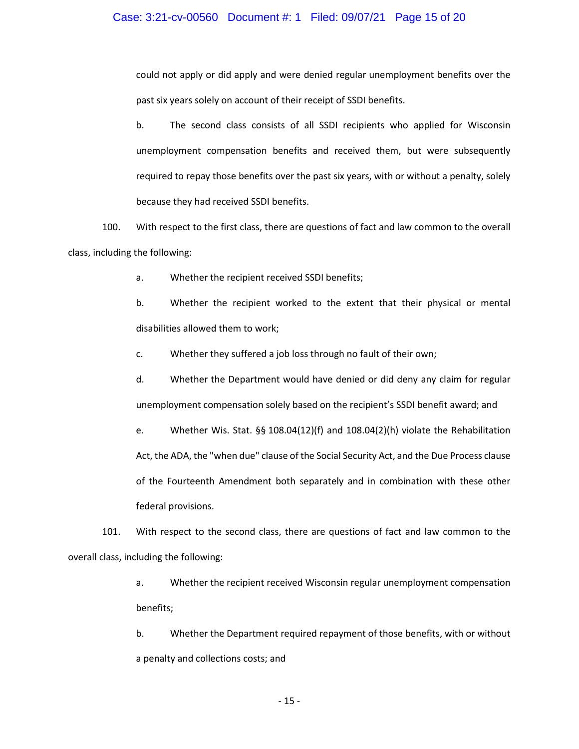# Case: 3:21-cv-00560 Document #: 1 Filed: 09/07/21 Page 15 of 20

could not apply or did apply and were denied regular unemployment benefits over the past six years solely on account of their receipt of SSDI benefits.

b. The second class consists of all SSDI recipients who applied for Wisconsin unemployment compensation benefits and received them, but were subsequently required to repay those benefits over the past six years, with or without a penalty, solely because they had received SSDI benefits.

100. With respect to the first class, there are questions of fact and law common to the overall class, including the following:

- a. Whether the recipient received SSDI benefits;
- b. Whether the recipient worked to the extent that their physical or mental disabilities allowed them to work;
- c. Whether they suffered a job loss through no fault of their own;
- d. Whether the Department would have denied or did deny any claim for regular unemployment compensation solely based on the recipient's SSDI benefit award; and
- e. Whether Wis. Stat. §§ 108.04(12)(f) and 108.04(2)(h) violate the Rehabilitation Act, the ADA, the "when due" clause of the Social Security Act, and the Due Process clause of the Fourteenth Amendment both separately and in combination with these other federal provisions.

101. With respect to the second class, there are questions of fact and law common to the overall class, including the following:

- a. Whether the recipient received Wisconsin regular unemployment compensation benefits;
- b. Whether the Department required repayment of those benefits, with or without a penalty and collections costs; and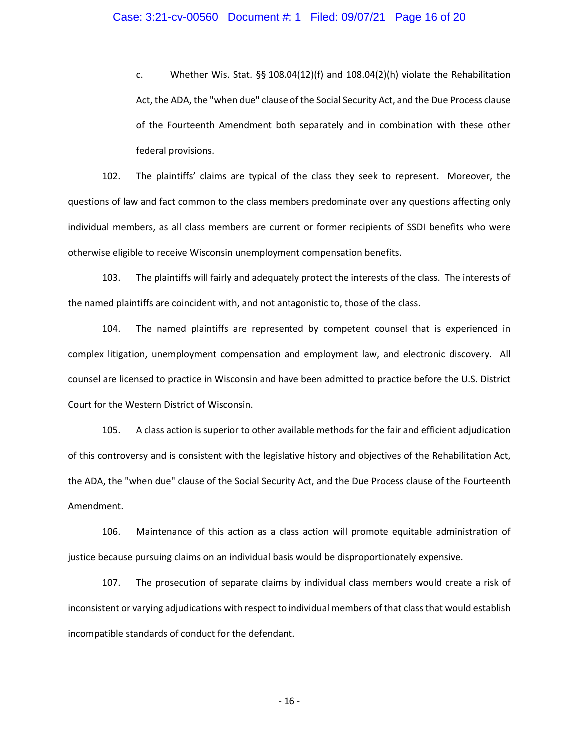c. Whether Wis. Stat. §§ 108.04(12)(f) and 108.04(2)(h) violate the Rehabilitation Act, the ADA, the "when due" clause of the Social Security Act, and the Due Process clause of the Fourteenth Amendment both separately and in combination with these other federal provisions.

102. The plaintiffs' claims are typical of the class they seek to represent. Moreover, the questions of law and fact common to the class members predominate over any questions affecting only individual members, as all class members are current or former recipients of SSDI benefits who were otherwise eligible to receive Wisconsin unemployment compensation benefits.

103. The plaintiffs will fairly and adequately protect the interests of the class. The interests of the named plaintiffs are coincident with, and not antagonistic to, those of the class.

104. The named plaintiffs are represented by competent counsel that is experienced in complex litigation, unemployment compensation and employment law, and electronic discovery. All counsel are licensed to practice in Wisconsin and have been admitted to practice before the U.S. District Court for the Western District of Wisconsin.

105. A class action is superior to other available methods for the fair and efficient adjudication of this controversy and is consistent with the legislative history and objectives of the Rehabilitation Act, the ADA, the "when due" clause of the Social Security Act, and the Due Process clause of the Fourteenth Amendment.

106. Maintenance of this action as a class action will promote equitable administration of justice because pursuing claims on an individual basis would be disproportionately expensive.

107. The prosecution of separate claims by individual class members would create a risk of inconsistent or varying adjudications with respect to individual members of that class that would establish incompatible standards of conduct for the defendant.

- 16 -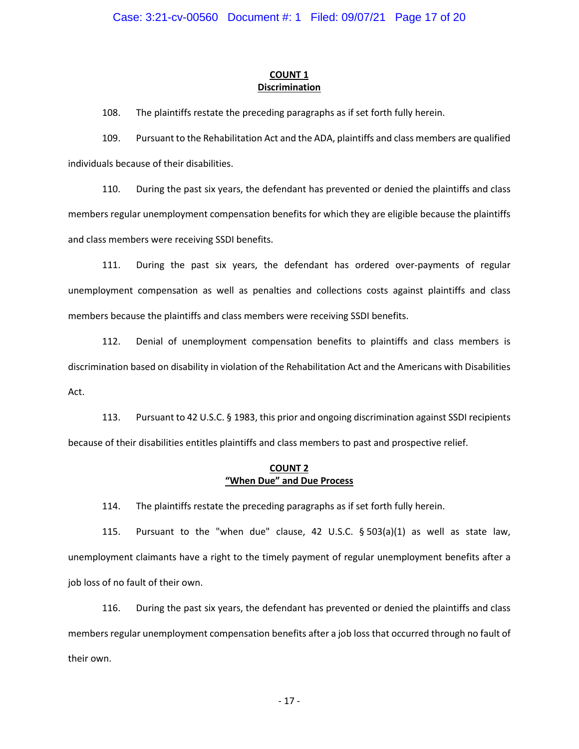# **COUNT 1 Discrimination**

108. The plaintiffs restate the preceding paragraphs as if set forth fully herein.

109. Pursuant to the Rehabilitation Act and the ADA, plaintiffs and class members are qualified individuals because of their disabilities.

110. During the past six years, the defendant has prevented or denied the plaintiffs and class members regular unemployment compensation benefits for which they are eligible because the plaintiffs and class members were receiving SSDI benefits.

111. During the past six years, the defendant has ordered over-payments of regular unemployment compensation as well as penalties and collections costs against plaintiffs and class members because the plaintiffs and class members were receiving SSDI benefits.

112. Denial of unemployment compensation benefits to plaintiffs and class members is discrimination based on disability in violation of the Rehabilitation Act and the Americans with Disabilities Act.

113. Pursuant to 42 U.S.C. § 1983, this prior and ongoing discrimination against SSDI recipients because of their disabilities entitles plaintiffs and class members to past and prospective relief.

# **COUNT 2 "When Due" and Due Process**

114. The plaintiffs restate the preceding paragraphs as if set forth fully herein.

115. Pursuant to the "when due" clause, 42 U.S.C. § 503(a)(1) as well as state law, unemployment claimants have a right to the timely payment of regular unemployment benefits after a job loss of no fault of their own.

116. During the past six years, the defendant has prevented or denied the plaintiffs and class members regular unemployment compensation benefits after a job loss that occurred through no fault of their own.

- 17 -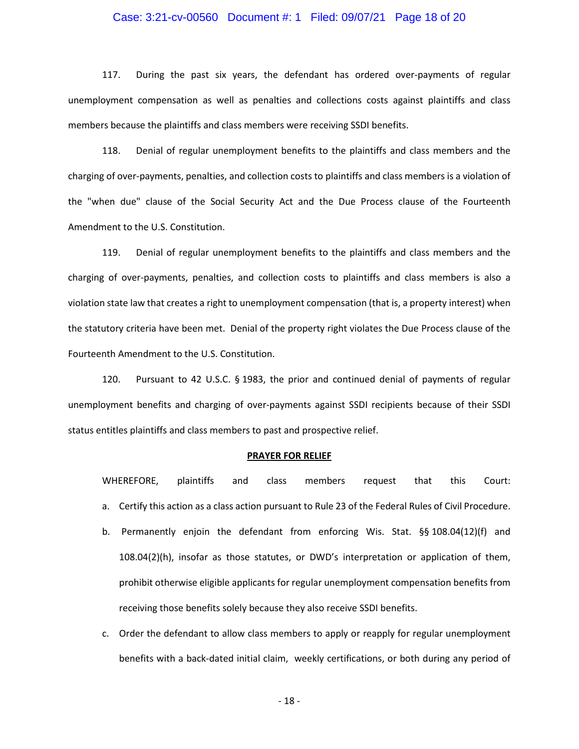# Case: 3:21-cv-00560 Document #: 1 Filed: 09/07/21 Page 18 of 20

117. During the past six years, the defendant has ordered over-payments of regular unemployment compensation as well as penalties and collections costs against plaintiffs and class members because the plaintiffs and class members were receiving SSDI benefits.

118. Denial of regular unemployment benefits to the plaintiffs and class members and the charging of over-payments, penalties, and collection costs to plaintiffs and class members is a violation of the "when due" clause of the Social Security Act and the Due Process clause of the Fourteenth Amendment to the U.S. Constitution.

119. Denial of regular unemployment benefits to the plaintiffs and class members and the charging of over-payments, penalties, and collection costs to plaintiffs and class members is also a violation state law that creates a right to unemployment compensation (that is, a property interest) when the statutory criteria have been met. Denial of the property right violates the Due Process clause of the Fourteenth Amendment to the U.S. Constitution.

120. Pursuant to 42 U.S.C. § 1983, the prior and continued denial of payments of regular unemployment benefits and charging of over-payments against SSDI recipients because of their SSDI status entitles plaintiffs and class members to past and prospective relief.

#### **PRAYER FOR RELIEF**

WHEREFORE, plaintiffs and class members request that this Court: a. Certify this action as a class action pursuant to Rule 23 of the Federal Rules of Civil Procedure.

- b. Permanently enjoin the defendant from enforcing Wis. Stat. §§ 108.04(12)(f) and 108.04(2)(h), insofar as those statutes, or DWD's interpretation or application of them, prohibit otherwise eligible applicants for regular unemployment compensation benefits from receiving those benefits solely because they also receive SSDI benefits.
- c. Order the defendant to allow class members to apply or reapply for regular unemployment benefits with a back-dated initial claim, weekly certifications, or both during any period of

- 18 -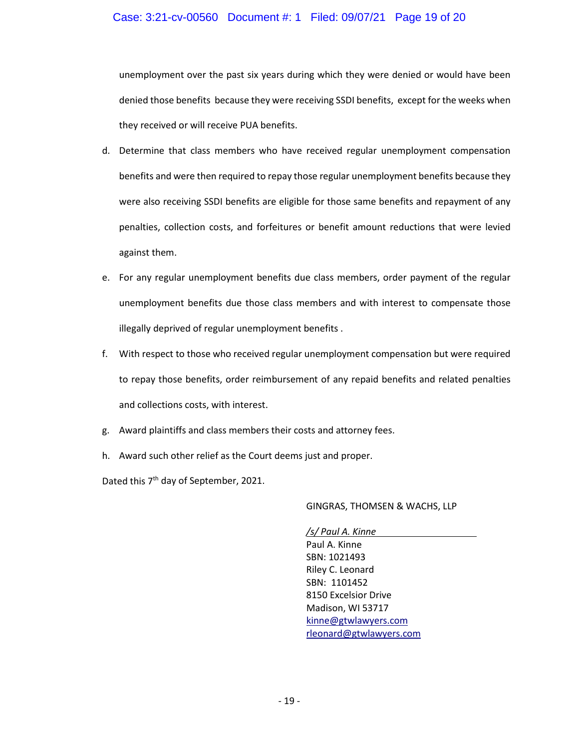# Case: 3:21-cv-00560 Document #: 1 Filed: 09/07/21 Page 19 of 20

unemployment over the past six years during which they were denied or would have been denied those benefits because they were receiving SSDI benefits, except for the weeks when they received or will receive PUA benefits.

- d. Determine that class members who have received regular unemployment compensation benefits and were then required to repay those regular unemployment benefits because they were also receiving SSDI benefits are eligible for those same benefits and repayment of any penalties, collection costs, and forfeitures or benefit amount reductions that were levied against them.
- e. For any regular unemployment benefits due class members, order payment of the regular unemployment benefits due those class members and with interest to compensate those illegally deprived of regular unemployment benefits .
- f. With respect to those who received regular unemployment compensation but were required to repay those benefits, order reimbursement of any repaid benefits and related penalties and collections costs, with interest.
- g. Award plaintiffs and class members their costs and attorney fees.
- h. Award such other relief as the Court deems just and proper.

Dated this 7<sup>th</sup> day of September, 2021.

#### GINGRAS, THOMSEN & WACHS, LLP

*/s/ Paul A. Kinne* Paul A. Kinne SBN: 1021493 Riley C. Leonard SBN: 1101452 8150 Excelsior Drive Madison, WI 53717 kinne@gtwlawyers.com rleonard@gtwlawyers.com